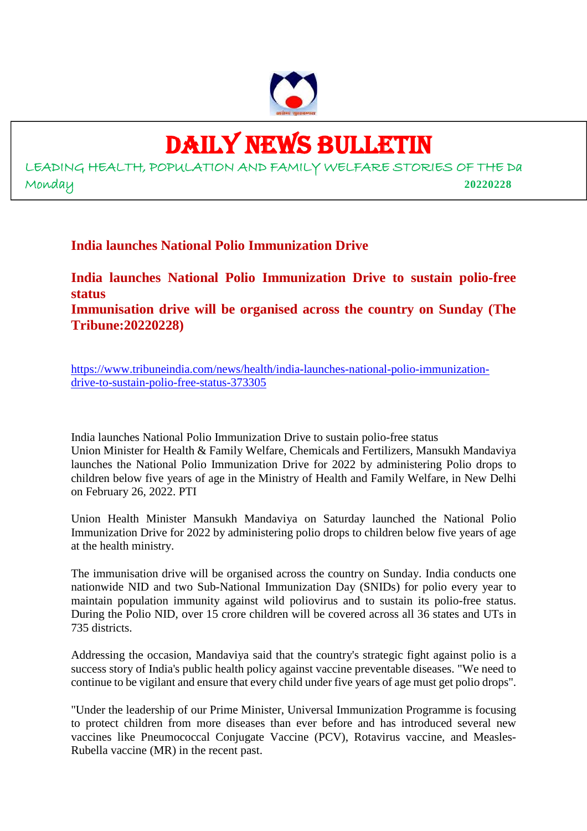

# DAILY NEWS BULLETIN

LEADING HEALTH, POPULATION AND FAMILY WELFARE STORIES OF THE Da Monday **20220228**

**India launches National Polio Immunization Drive**

**India launches National Polio Immunization Drive to sustain polio-free status Immunisation drive will be organised across the country on Sunday (The Tribune:20220228)**

https://www.tribuneindia.com/news/health/india-launches-national-polio-immunizationdrive-to-sustain-polio-free-status-373305

India launches National Polio Immunization Drive to sustain polio-free status Union Minister for Health & Family Welfare, Chemicals and Fertilizers, Mansukh Mandaviya launches the National Polio Immunization Drive for 2022 by administering Polio drops to children below five years of age in the Ministry of Health and Family Welfare, in New Delhi on February 26, 2022. PTI

Union Health Minister Mansukh Mandaviya on Saturday launched the National Polio Immunization Drive for 2022 by administering polio drops to children below five years of age at the health ministry.

The immunisation drive will be organised across the country on Sunday. India conducts one nationwide NID and two Sub-National Immunization Day (SNIDs) for polio every year to maintain population immunity against wild poliovirus and to sustain its polio-free status. During the Polio NID, over 15 crore children will be covered across all 36 states and UTs in 735 districts.

Addressing the occasion, Mandaviya said that the country's strategic fight against polio is a success story of India's public health policy against vaccine preventable diseases. "We need to continue to be vigilant and ensure that every child under five years of age must get polio drops".

"Under the leadership of our Prime Minister, Universal Immunization Programme is focusing to protect children from more diseases than ever before and has introduced several new vaccines like Pneumococcal Conjugate Vaccine (PCV), Rotavirus vaccine, and Measles-Rubella vaccine (MR) in the recent past.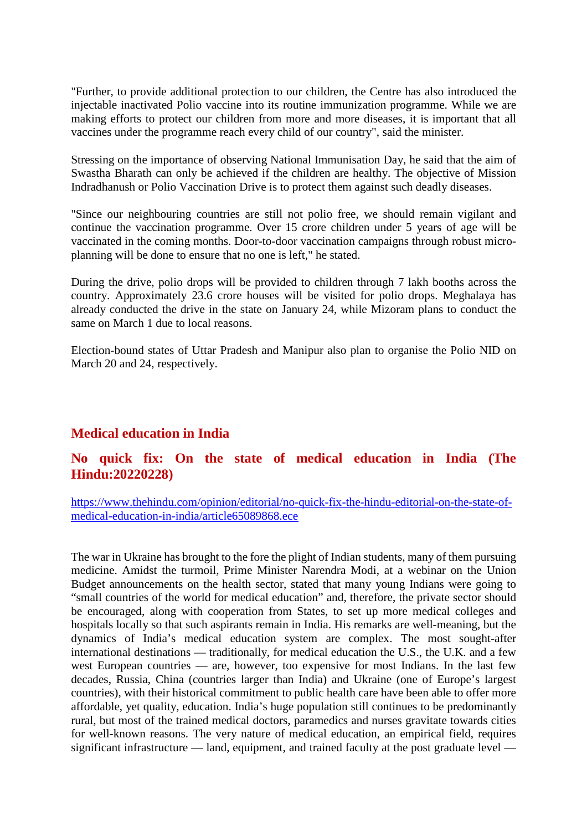"Further, to provide additional protection to our children, the Centre has also introduced the injectable inactivated Polio vaccine into its routine immunization programme. While we are making efforts to protect our children from more and more diseases, it is important that all vaccines under the programme reach every child of our country", said the minister.

Stressing on the importance of observing National Immunisation Day, he said that the aim of Swastha Bharath can only be achieved if the children are healthy. The objective of Mission Indradhanush or Polio Vaccination Drive is to protect them against such deadly diseases.

"Since our neighbouring countries are still not polio free, we should remain vigilant and continue the vaccination programme. Over 15 crore children under 5 years of age will be vaccinated in the coming months. Door-to-door vaccination campaigns through robust microplanning will be done to ensure that no one is left," he stated.

During the drive, polio drops will be provided to children through 7 lakh booths across the country. Approximately 23.6 crore houses will be visited for polio drops. Meghalaya has already conducted the drive in the state on January 24, while Mizoram plans to conduct the same on March 1 due to local reasons.

Election-bound states of Uttar Pradesh and Manipur also plan to organise the Polio NID on March 20 and 24, respectively.

# **Medical education in India**

#### **No quick fix: On the state of medical education in India (The Hindu:20220228)**

https://www.thehindu.com/opinion/editorial/no-quick-fix-the-hindu-editorial-on-the-state-ofmedical-education-in-india/article65089868.ece

The war in Ukraine has brought to the fore the plight of Indian students, many of them pursuing medicine. Amidst the turmoil, Prime Minister Narendra Modi, at a webinar on the Union Budget announcements on the health sector, stated that many young Indians were going to "small countries of the world for medical education" and, therefore, the private sector should be encouraged, along with cooperation from States, to set up more medical colleges and hospitals locally so that such aspirants remain in India. His remarks are well-meaning, but the dynamics of India's medical education system are complex. The most sought-after international destinations — traditionally, for medical education the U.S., the U.K. and a few west European countries — are, however, too expensive for most Indians. In the last few decades, Russia, China (countries larger than India) and Ukraine (one of Europe's largest countries), with their historical commitment to public health care have been able to offer more affordable, yet quality, education. India's huge population still continues to be predominantly rural, but most of the trained medical doctors, paramedics and nurses gravitate towards cities for well-known reasons. The very nature of medical education, an empirical field, requires significant infrastructure — land, equipment, and trained faculty at the post graduate level —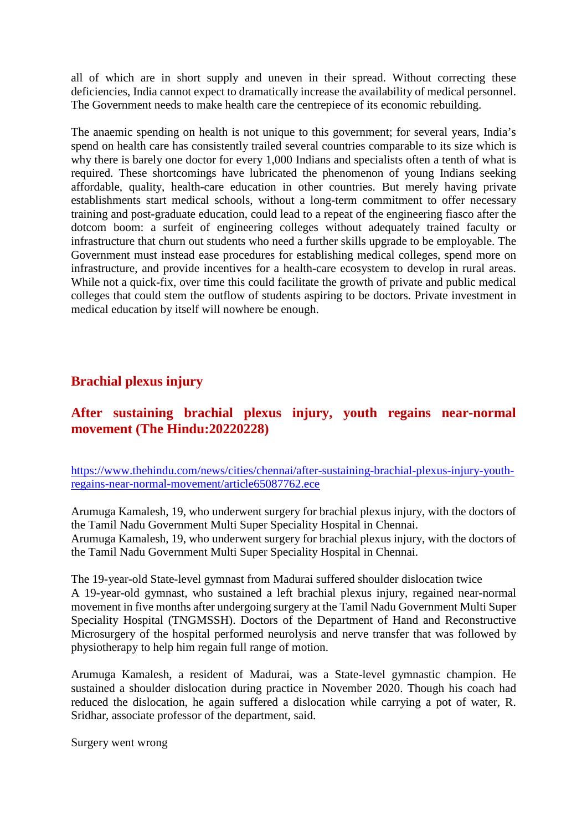all of which are in short supply and uneven in their spread. Without correcting these deficiencies, India cannot expect to dramatically increase the availability of medical personnel. The Government needs to make health care the centrepiece of its economic rebuilding.

The anaemic spending on health is not unique to this government; for several years, India's spend on health care has consistently trailed several countries comparable to its size which is why there is barely one doctor for every 1,000 Indians and specialists often a tenth of what is required. These shortcomings have lubricated the phenomenon of young Indians seeking affordable, quality, health-care education in other countries. But merely having private establishments start medical schools, without a long-term commitment to offer necessary training and post-graduate education, could lead to a repeat of the engineering fiasco after the dotcom boom: a surfeit of engineering colleges without adequately trained faculty or infrastructure that churn out students who need a further skills upgrade to be employable. The Government must instead ease procedures for establishing medical colleges, spend more on infrastructure, and provide incentives for a health-care ecosystem to develop in rural areas. While not a quick-fix, over time this could facilitate the growth of private and public medical colleges that could stem the outflow of students aspiring to be doctors. Private investment in medical education by itself will nowhere be enough.

## **Brachial plexus injury**

# **After sustaining brachial plexus injury, youth regains near-normal movement (The Hindu:20220228)**

https://www.thehindu.com/news/cities/chennai/after-sustaining-brachial-plexus-injury-youthregains-near-normal-movement/article65087762.ece

Arumuga Kamalesh, 19, who underwent surgery for brachial plexus injury, with the doctors of the Tamil Nadu Government Multi Super Speciality Hospital in Chennai. Arumuga Kamalesh, 19, who underwent surgery for brachial plexus injury, with the doctors of the Tamil Nadu Government Multi Super Speciality Hospital in Chennai.

The 19-year-old State-level gymnast from Madurai suffered shoulder dislocation twice

A 19-year-old gymnast, who sustained a left brachial plexus injury, regained near-normal movement in five months after undergoing surgery at the Tamil Nadu Government Multi Super Speciality Hospital (TNGMSSH). Doctors of the Department of Hand and Reconstructive Microsurgery of the hospital performed neurolysis and nerve transfer that was followed by physiotherapy to help him regain full range of motion.

Arumuga Kamalesh, a resident of Madurai, was a State-level gymnastic champion. He sustained a shoulder dislocation during practice in November 2020. Though his coach had reduced the dislocation, he again suffered a dislocation while carrying a pot of water, R. Sridhar, associate professor of the department, said.

Surgery went wrong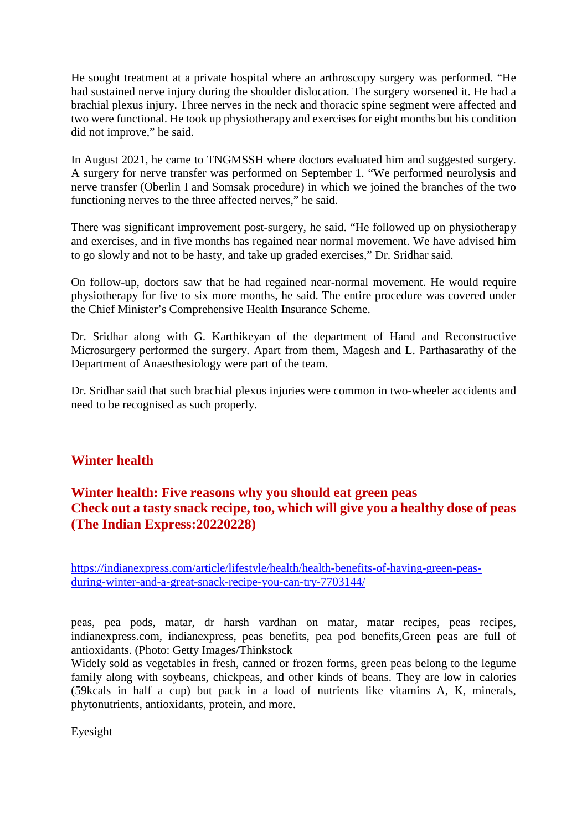He sought treatment at a private hospital where an arthroscopy surgery was performed. "He had sustained nerve injury during the shoulder dislocation. The surgery worsened it. He had a brachial plexus injury. Three nerves in the neck and thoracic spine segment were affected and two were functional. He took up physiotherapy and exercises for eight months but his condition did not improve," he said.

In August 2021, he came to TNGMSSH where doctors evaluated him and suggested surgery. A surgery for nerve transfer was performed on September 1. "We performed neurolysis and nerve transfer (Oberlin I and Somsak procedure) in which we joined the branches of the two functioning nerves to the three affected nerves," he said.

There was significant improvement post-surgery, he said. "He followed up on physiotherapy and exercises, and in five months has regained near normal movement. We have advised him to go slowly and not to be hasty, and take up graded exercises," Dr. Sridhar said.

On follow-up, doctors saw that he had regained near-normal movement. He would require physiotherapy for five to six more months, he said. The entire procedure was covered under the Chief Minister's Comprehensive Health Insurance Scheme.

Dr. Sridhar along with G. Karthikeyan of the department of Hand and Reconstructive Microsurgery performed the surgery. Apart from them, Magesh and L. Parthasarathy of the Department of Anaesthesiology were part of the team.

Dr. Sridhar said that such brachial plexus injuries were common in two-wheeler accidents and need to be recognised as such properly.

# **Winter health**

# **Winter health: Five reasons why you should eat green peas Check out a tasty snack recipe, too, which will give you a healthy dose of peas (The Indian Express:20220228)**

https://indianexpress.com/article/lifestyle/health/health-benefits-of-having-green-peasduring-winter-and-a-great-snack-recipe-you-can-try-7703144/

peas, pea pods, matar, dr harsh vardhan on matar, matar recipes, peas recipes, indianexpress.com, indianexpress, peas benefits, pea pod benefits,Green peas are full of antioxidants. (Photo: Getty Images/Thinkstock

Widely sold as vegetables in fresh, canned or frozen forms, green peas belong to the legume family along with soybeans, chickpeas, and other kinds of beans. They are low in calories (59kcals in half a cup) but pack in a load of nutrients like vitamins A, K, minerals, phytonutrients, antioxidants, protein, and more.

Eyesight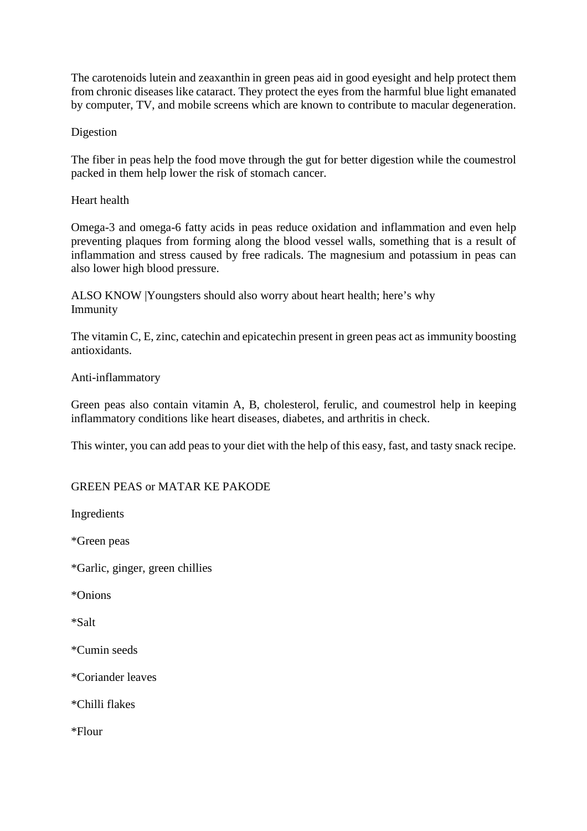The carotenoids lutein and zeaxanthin in green peas aid in good eyesight and help protect them from chronic diseases like cataract. They protect the eyes from the harmful blue light emanated by computer, TV, and mobile screens which are known to contribute to macular degeneration.

#### Digestion

The fiber in peas help the food move through the gut for better digestion while the coumestrol packed in them help lower the risk of stomach cancer.

#### Heart health

Omega-3 and omega-6 fatty acids in peas reduce oxidation and inflammation and even help preventing plaques from forming along the blood vessel walls, something that is a result of inflammation and stress caused by free radicals. The magnesium and potassium in peas can also lower high blood pressure.

ALSO KNOW |Youngsters should also worry about heart health; here's why Immunity

The vitamin C, E, zinc, catechin and epicatechin present in green peas act as immunity boosting antioxidants.

#### Anti-inflammatory

Green peas also contain vitamin A, B, cholesterol, ferulic, and coumestrol help in keeping inflammatory conditions like heart diseases, diabetes, and arthritis in check.

This winter, you can add peas to your diet with the help of this easy, fast, and tasty snack recipe.

#### GREEN PEAS or MATAR KE PAKODE

Ingredients

\*Green peas

\*Garlic, ginger, green chillies

\*Onions

\*Salt

\*Cumin seeds

\*Coriander leaves

\*Chilli flakes

\*Flour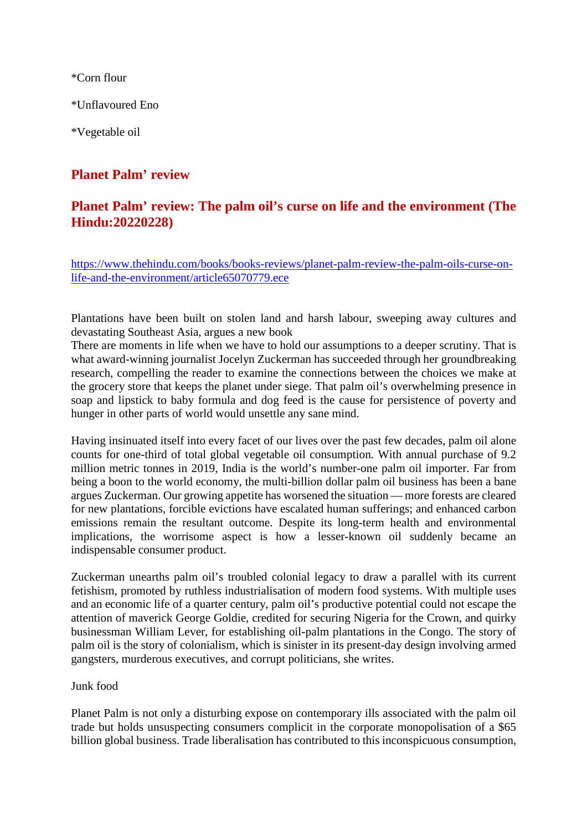\*Corn flour

\*Unflavoured Eno

\*Vegetable oil

# **Planet Palm' review**

## **Planet Palm' review: The palm oil's curse on life and the environment (The Hindu:20220228)**

https://www.thehindu.com/books/books-reviews/planet-palm-review-the-palm-oils-curse-onlife-and-the-environment/article65070779.ece

Plantations have been built on stolen land and harsh labour, sweeping away cultures and devastating Southeast Asia, argues a new book

There are moments in life when we have to hold our assumptions to a deeper scrutiny. That is what award-winning journalist Jocelyn Zuckerman has succeeded through her groundbreaking research, compelling the reader to examine the connections between the choices we make at the grocery store that keeps the planet under siege. That palm oil's overwhelming presence in soap and lipstick to baby formula and dog feed is the cause for persistence of poverty and hunger in other parts of world would unsettle any sane mind.

Having insinuated itself into every facet of our lives over the past few decades, palm oil alone counts for one-third of total global vegetable oil consumption. With annual purchase of 9.2 million metric tonnes in 2019, India is the world's number-one palm oil importer. Far from being a boon to the world economy, the multi-billion dollar palm oil business has been a bane argues Zuckerman. Our growing appetite has worsened the situation — more forests are cleared for new plantations, forcible evictions have escalated human sufferings; and enhanced carbon emissions remain the resultant outcome. Despite its long-term health and environmental implications, the worrisome aspect is how a lesser-known oil suddenly became an indispensable consumer product.

Zuckerman unearths palm oil's troubled colonial legacy to draw a parallel with its current fetishism, promoted by ruthless industrialisation of modern food systems. With multiple uses and an economic life of a quarter century, palm oil's productive potential could not escape the attention of maverick George Goldie, credited for securing Nigeria for the Crown, and quirky businessman William Lever, for establishing oil-palm plantations in the Congo. The story of palm oil is the story of colonialism, which is sinister in its present-day design involving armed gangsters, murderous executives, and corrupt politicians, she writes.

#### Junk food

Planet Palm is not only a disturbing expose on contemporary ills associated with the palm oil trade but holds unsuspecting consumers complicit in the corporate monopolisation of a \$65 billion global business. Trade liberalisation has contributed to this inconspicuous consumption,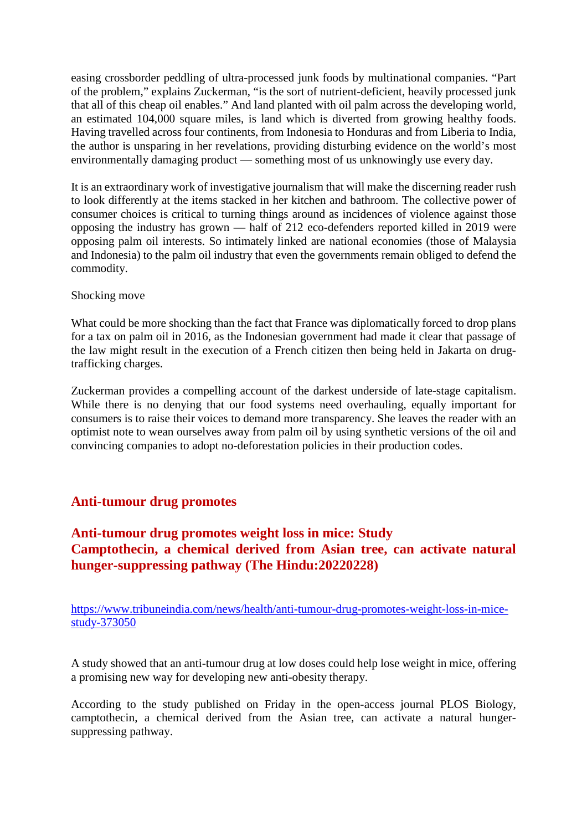easing crossborder peddling of ultra-processed junk foods by multinational companies. "Part of the problem," explains Zuckerman, "is the sort of nutrient-deficient, heavily processed junk that all of this cheap oil enables." And land planted with oil palm across the developing world, an estimated 104,000 square miles, is land which is diverted from growing healthy foods. Having travelled across four continents, from Indonesia to Honduras and from Liberia to India, the author is unsparing in her revelations, providing disturbing evidence on the world's most environmentally damaging product — something most of us unknowingly use every day.

It is an extraordinary work of investigative journalism that will make the discerning reader rush to look differently at the items stacked in her kitchen and bathroom. The collective power of consumer choices is critical to turning things around as incidences of violence against those opposing the industry has grown — half of 212 eco-defenders reported killed in 2019 were opposing palm oil interests. So intimately linked are national economies (those of Malaysia and Indonesia) to the palm oil industry that even the governments remain obliged to defend the commodity.

#### Shocking move

What could be more shocking than the fact that France was diplomatically forced to drop plans for a tax on palm oil in 2016, as the Indonesian government had made it clear that passage of the law might result in the execution of a French citizen then being held in Jakarta on drugtrafficking charges.

Zuckerman provides a compelling account of the darkest underside of late-stage capitalism. While there is no denying that our food systems need overhauling, equally important for consumers is to raise their voices to demand more transparency. She leaves the reader with an optimist note to wean ourselves away from palm oil by using synthetic versions of the oil and convincing companies to adopt no-deforestation policies in their production codes.

# **Anti-tumour drug promotes**

# **Anti-tumour drug promotes weight loss in mice: Study Camptothecin, a chemical derived from Asian tree, can activate natural hunger-suppressing pathway (The Hindu:20220228)**

https://www.tribuneindia.com/news/health/anti-tumour-drug-promotes-weight-loss-in-micestudy-373050

A study showed that an anti-tumour drug at low doses could help lose weight in mice, offering a promising new way for developing new anti-obesity therapy.

According to the study published on Friday in the open-access journal PLOS Biology, camptothecin, a chemical derived from the Asian tree, can activate a natural hungersuppressing pathway.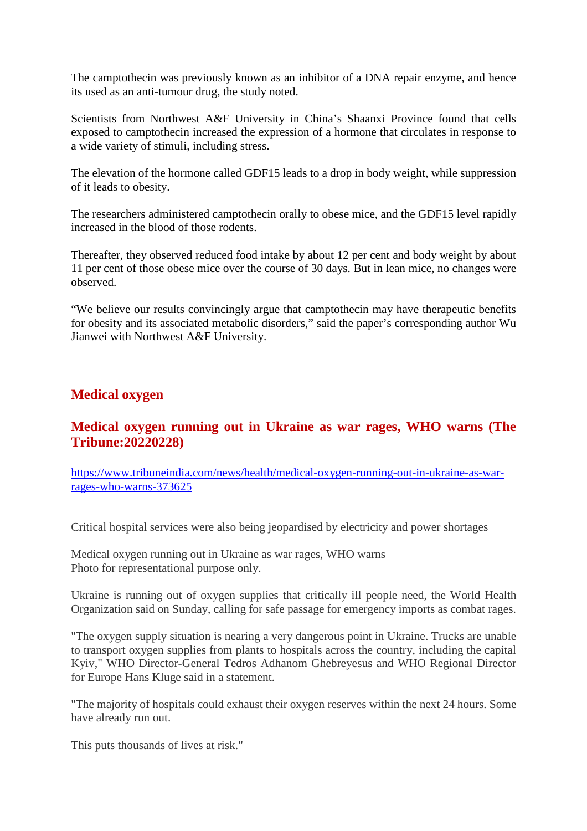The camptothecin was previously known as an inhibitor of a DNA repair enzyme, and hence its used as an anti-tumour drug, the study noted.

Scientists from Northwest A&F University in China's Shaanxi Province found that cells exposed to camptothecin increased the expression of a hormone that circulates in response to a wide variety of stimuli, including stress.

The elevation of the hormone called GDF15 leads to a drop in body weight, while suppression of it leads to obesity.

The researchers administered camptothecin orally to obese mice, and the GDF15 level rapidly increased in the blood of those rodents.

Thereafter, they observed reduced food intake by about 12 per cent and body weight by about 11 per cent of those obese mice over the course of 30 days. But in lean mice, no changes were observed.

"We believe our results convincingly argue that camptothecin may have therapeutic benefits for obesity and its associated metabolic disorders," said the paper's corresponding author Wu Jianwei with Northwest A&F University.

#### **Medical oxygen**

## **Medical oxygen running out in Ukraine as war rages, WHO warns (The Tribune:20220228)**

https://www.tribuneindia.com/news/health/medical-oxygen-running-out-in-ukraine-as-warrages-who-warns-373625

Critical hospital services were also being jeopardised by electricity and power shortages

Medical oxygen running out in Ukraine as war rages, WHO warns Photo for representational purpose only.

Ukraine is running out of oxygen supplies that critically ill people need, the World Health Organization said on Sunday, calling for safe passage for emergency imports as combat rages.

"The oxygen supply situation is nearing a very dangerous point in Ukraine. Trucks are unable to transport oxygen supplies from plants to hospitals across the country, including the capital Kyiv," WHO Director-General Tedros Adhanom Ghebreyesus and WHO Regional Director for Europe Hans Kluge said in a statement.

"The majority of hospitals could exhaust their oxygen reserves within the next 24 hours. Some have already run out.

This puts thousands of lives at risk."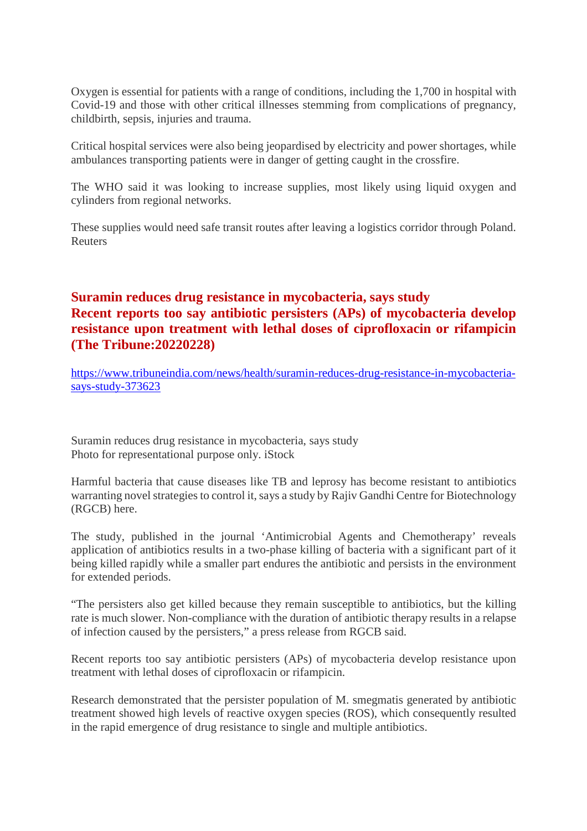Oxygen is essential for patients with a range of conditions, including the 1,700 in hospital with Covid-19 and those with other critical illnesses stemming from complications of pregnancy, childbirth, sepsis, injuries and trauma.

Critical hospital services were also being jeopardised by electricity and power shortages, while ambulances transporting patients were in danger of getting caught in the crossfire.

The WHO said it was looking to increase supplies, most likely using liquid oxygen and cylinders from regional networks.

These supplies would need safe transit routes after leaving a logistics corridor through Poland. Reuters

## **Suramin reduces drug resistance in mycobacteria, says study Recent reports too say antibiotic persisters (APs) of mycobacteria develop resistance upon treatment with lethal doses of ciprofloxacin or rifampicin (The Tribune:20220228)**

https://www.tribuneindia.com/news/health/suramin-reduces-drug-resistance-in-mycobacteriasays-study-373623

Suramin reduces drug resistance in mycobacteria, says study Photo for representational purpose only. iStock

Harmful bacteria that cause diseases like TB and leprosy has become resistant to antibiotics warranting novel strategies to control it, says a study by Rajiv Gandhi Centre for Biotechnology (RGCB) here.

The study, published in the journal 'Antimicrobial Agents and Chemotherapy' reveals application of antibiotics results in a two-phase killing of bacteria with a significant part of it being killed rapidly while a smaller part endures the antibiotic and persists in the environment for extended periods.

"The persisters also get killed because they remain susceptible to antibiotics, but the killing rate is much slower. Non-compliance with the duration of antibiotic therapy results in a relapse of infection caused by the persisters," a press release from RGCB said.

Recent reports too say antibiotic persisters (APs) of mycobacteria develop resistance upon treatment with lethal doses of ciprofloxacin or rifampicin.

Research demonstrated that the persister population of M. smegmatis generated by antibiotic treatment showed high levels of reactive oxygen species (ROS), which consequently resulted in the rapid emergence of drug resistance to single and multiple antibiotics.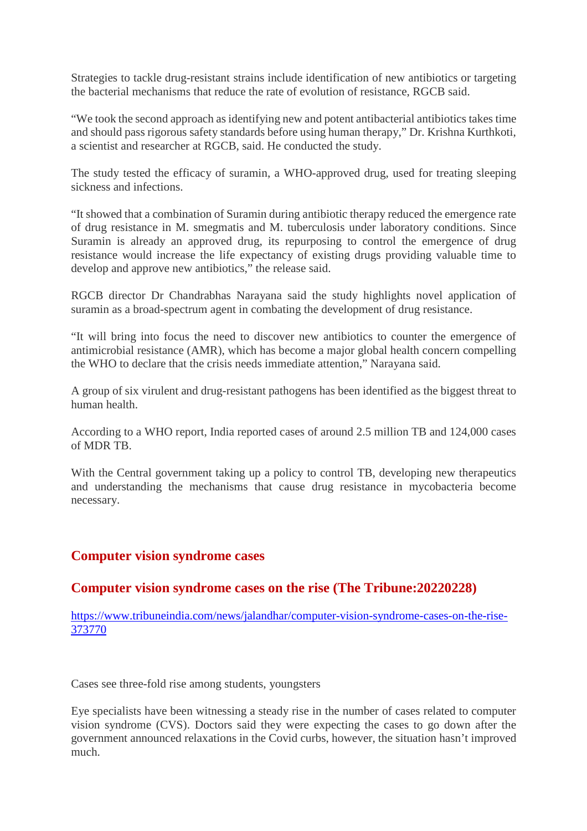Strategies to tackle drug-resistant strains include identification of new antibiotics or targeting the bacterial mechanisms that reduce the rate of evolution of resistance, RGCB said.

"We took the second approach as identifying new and potent antibacterial antibiotics takes time and should pass rigorous safety standards before using human therapy," Dr. Krishna Kurthkoti, a scientist and researcher at RGCB, said. He conducted the study.

The study tested the efficacy of suramin, a WHO-approved drug, used for treating sleeping sickness and infections.

"It showed that a combination of Suramin during antibiotic therapy reduced the emergence rate of drug resistance in M. smegmatis and M. tuberculosis under laboratory conditions. Since Suramin is already an approved drug, its repurposing to control the emergence of drug resistance would increase the life expectancy of existing drugs providing valuable time to develop and approve new antibiotics," the release said.

RGCB director Dr Chandrabhas Narayana said the study highlights novel application of suramin as a broad-spectrum agent in combating the development of drug resistance.

"It will bring into focus the need to discover new antibiotics to counter the emergence of antimicrobial resistance (AMR), which has become a major global health concern compelling the WHO to declare that the crisis needs immediate attention," Narayana said.

A group of six virulent and drug-resistant pathogens has been identified as the biggest threat to human health.

According to a WHO report, India reported cases of around 2.5 million TB and 124,000 cases of MDR TB.

With the Central government taking up a policy to control TB, developing new therapeutics and understanding the mechanisms that cause drug resistance in mycobacteria become necessary.

# **Computer vision syndrome cases**

#### **Computer vision syndrome cases on the rise (The Tribune:20220228)**

https://www.tribuneindia.com/news/jalandhar/computer-vision-syndrome-cases-on-the-rise-373770

Cases see three-fold rise among students, youngsters

Eye specialists have been witnessing a steady rise in the number of cases related to computer vision syndrome (CVS). Doctors said they were expecting the cases to go down after the government announced relaxations in the Covid curbs, however, the situation hasn't improved much.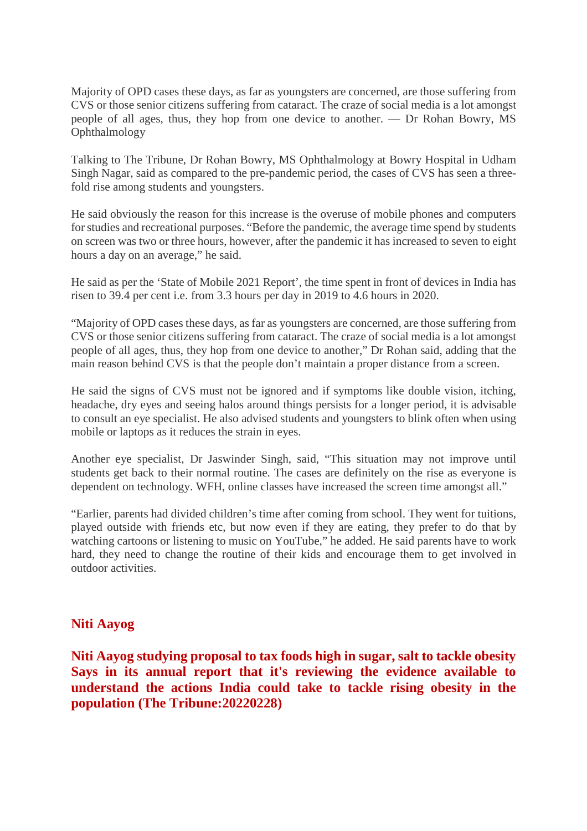Majority of OPD cases these days, as far as youngsters are concerned, are those suffering from CVS or those senior citizens suffering from cataract. The craze of social media is a lot amongst people of all ages, thus, they hop from one device to another. — Dr Rohan Bowry, MS Ophthalmology

Talking to The Tribune, Dr Rohan Bowry, MS Ophthalmology at Bowry Hospital in Udham Singh Nagar, said as compared to the pre-pandemic period, the cases of CVS has seen a threefold rise among students and youngsters.

He said obviously the reason for this increase is the overuse of mobile phones and computers for studies and recreational purposes. "Before the pandemic, the average time spend by students on screen was two or three hours, however, after the pandemic it has increased to seven to eight hours a day on an average," he said.

He said as per the 'State of Mobile 2021 Report', the time spent in front of devices in India has risen to 39.4 per cent i.e. from 3.3 hours per day in 2019 to 4.6 hours in 2020.

"Majority of OPD cases these days, as far as youngsters are concerned, are those suffering from CVS or those senior citizens suffering from cataract. The craze of social media is a lot amongst people of all ages, thus, they hop from one device to another," Dr Rohan said, adding that the main reason behind CVS is that the people don't maintain a proper distance from a screen.

He said the signs of CVS must not be ignored and if symptoms like double vision, itching, headache, dry eyes and seeing halos around things persists for a longer period, it is advisable to consult an eye specialist. He also advised students and youngsters to blink often when using mobile or laptops as it reduces the strain in eyes.

Another eye specialist, Dr Jaswinder Singh, said, "This situation may not improve until students get back to their normal routine. The cases are definitely on the rise as everyone is dependent on technology. WFH, online classes have increased the screen time amongst all."

"Earlier, parents had divided children's time after coming from school. They went for tuitions, played outside with friends etc, but now even if they are eating, they prefer to do that by watching cartoons or listening to music on YouTube," he added. He said parents have to work hard, they need to change the routine of their kids and encourage them to get involved in outdoor activities.

#### **Niti Aayog**

**Niti Aayog studying proposal to tax foods high in sugar, salt to tackle obesity Says in its annual report that it's reviewing the evidence available to understand the actions India could take to tackle rising obesity in the population (The Tribune:20220228)**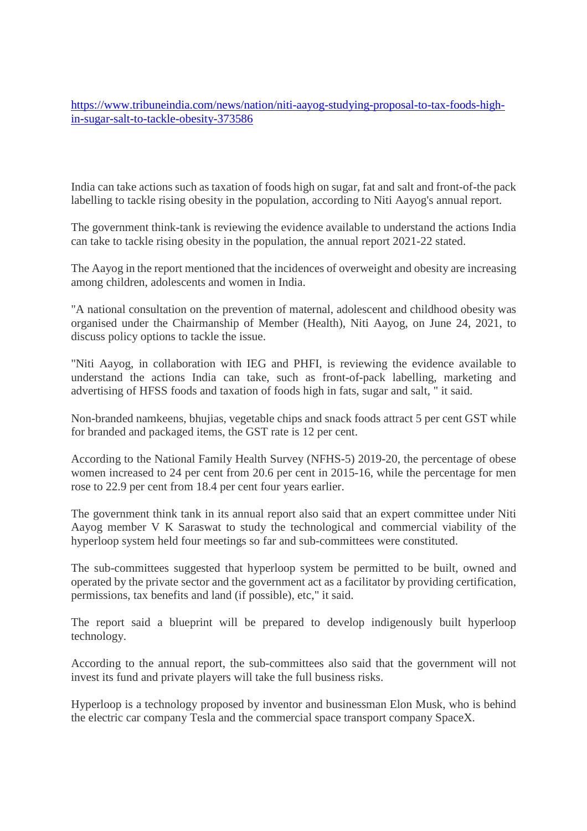https://www.tribuneindia.com/news/nation/niti-aayog-studying-proposal-to-tax-foods-highin-sugar-salt-to-tackle-obesity-373586

India can take actions such as taxation of foods high on sugar, fat and salt and front-of-the pack labelling to tackle rising obesity in the population, according to Niti Aayog's annual report.

The government think-tank is reviewing the evidence available to understand the actions India can take to tackle rising obesity in the population, the annual report 2021-22 stated.

The Aayog in the report mentioned that the incidences of overweight and obesity are increasing among children, adolescents and women in India.

"A national consultation on the prevention of maternal, adolescent and childhood obesity was organised under the Chairmanship of Member (Health), Niti Aayog, on June 24, 2021, to discuss policy options to tackle the issue.

"Niti Aayog, in collaboration with IEG and PHFI, is reviewing the evidence available to understand the actions India can take, such as front-of-pack labelling, marketing and advertising of HFSS foods and taxation of foods high in fats, sugar and salt, " it said.

Non-branded namkeens, bhujias, vegetable chips and snack foods attract 5 per cent GST while for branded and packaged items, the GST rate is 12 per cent.

According to the National Family Health Survey (NFHS-5) 2019-20, the percentage of obese women increased to 24 per cent from 20.6 per cent in 2015-16, while the percentage for men rose to 22.9 per cent from 18.4 per cent four years earlier.

The government think tank in its annual report also said that an expert committee under Niti Aayog member V K Saraswat to study the technological and commercial viability of the hyperloop system held four meetings so far and sub-committees were constituted.

The sub-committees suggested that hyperloop system be permitted to be built, owned and operated by the private sector and the government act as a facilitator by providing certification, permissions, tax benefits and land (if possible), etc," it said.

The report said a blueprint will be prepared to develop indigenously built hyperloop technology.

According to the annual report, the sub-committees also said that the government will not invest its fund and private players will take the full business risks.

Hyperloop is a technology proposed by inventor and businessman Elon Musk, who is behind the electric car company Tesla and the commercial space transport company SpaceX.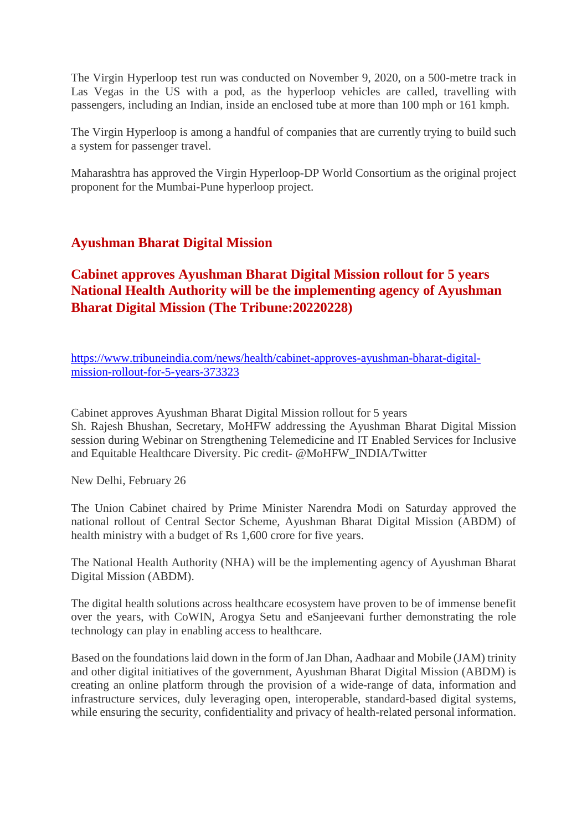The Virgin Hyperloop test run was conducted on November 9, 2020, on a 500-metre track in Las Vegas in the US with a pod, as the hyperloop vehicles are called, travelling with passengers, including an Indian, inside an enclosed tube at more than 100 mph or 161 kmph.

The Virgin Hyperloop is among a handful of companies that are currently trying to build such a system for passenger travel.

Maharashtra has approved the Virgin Hyperloop-DP World Consortium as the original project proponent for the Mumbai-Pune hyperloop project.

## **Ayushman Bharat Digital Mission**

# **Cabinet approves Ayushman Bharat Digital Mission rollout for 5 years National Health Authority will be the implementing agency of Ayushman Bharat Digital Mission (The Tribune:20220228)**

https://www.tribuneindia.com/news/health/cabinet-approves-ayushman-bharat-digitalmission-rollout-for-5-years-373323

Cabinet approves Ayushman Bharat Digital Mission rollout for 5 years Sh. Rajesh Bhushan, Secretary, MoHFW addressing the Ayushman Bharat Digital Mission session during Webinar on Strengthening Telemedicine and IT Enabled Services for Inclusive and Equitable Healthcare Diversity. Pic credit- @MoHFW\_INDIA/Twitter

New Delhi, February 26

The Union Cabinet chaired by Prime Minister Narendra Modi on Saturday approved the national rollout of Central Sector Scheme, Ayushman Bharat Digital Mission (ABDM) of health ministry with a budget of Rs 1,600 crore for five years.

The National Health Authority (NHA) will be the implementing agency of Ayushman Bharat Digital Mission (ABDM).

The digital health solutions across healthcare ecosystem have proven to be of immense benefit over the years, with CoWIN, Arogya Setu and eSanjeevani further demonstrating the role technology can play in enabling access to healthcare.

Based on the foundations laid down in the form of Jan Dhan, Aadhaar and Mobile (JAM) trinity and other digital initiatives of the government, Ayushman Bharat Digital Mission (ABDM) is creating an online platform through the provision of a wide-range of data, information and infrastructure services, duly leveraging open, interoperable, standard-based digital systems, while ensuring the security, confidentiality and privacy of health-related personal information.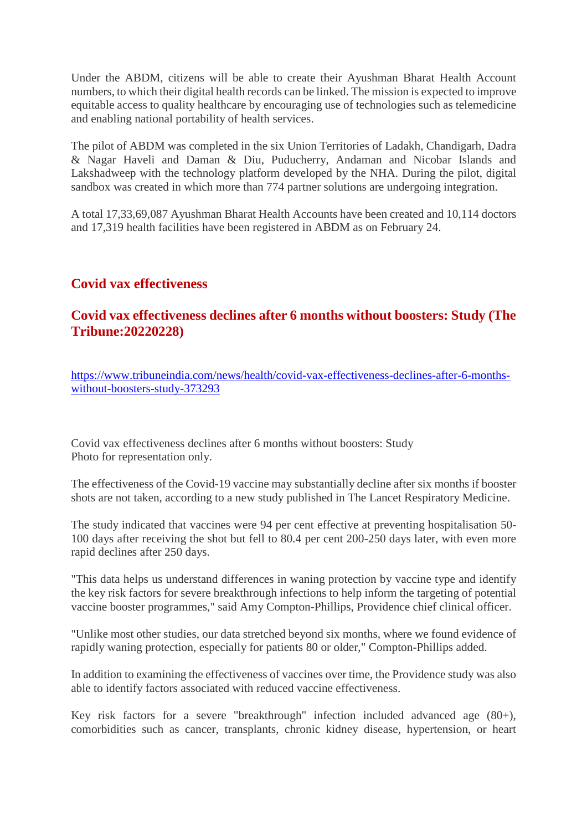Under the ABDM, citizens will be able to create their Ayushman Bharat Health Account numbers, to which their digital health records can be linked. The mission is expected to improve equitable access to quality healthcare by encouraging use of technologies such as telemedicine and enabling national portability of health services.

The pilot of ABDM was completed in the six Union Territories of Ladakh, Chandigarh, Dadra & Nagar Haveli and Daman & Diu, Puducherry, Andaman and Nicobar Islands and Lakshadweep with the technology platform developed by the NHA. During the pilot, digital sandbox was created in which more than 774 partner solutions are undergoing integration.

A total 17,33,69,087 Ayushman Bharat Health Accounts have been created and 10,114 doctors and 17,319 health facilities have been registered in ABDM as on February 24.

# **Covid vax effectiveness**

# **Covid vax effectiveness declines after 6 months without boosters: Study (The Tribune:20220228)**

https://www.tribuneindia.com/news/health/covid-vax-effectiveness-declines-after-6-monthswithout-boosters-study-373293

Covid vax effectiveness declines after 6 months without boosters: Study Photo for representation only.

The effectiveness of the Covid-19 vaccine may substantially decline after six months if booster shots are not taken, according to a new study published in The Lancet Respiratory Medicine.

The study indicated that vaccines were 94 per cent effective at preventing hospitalisation 50- 100 days after receiving the shot but fell to 80.4 per cent 200-250 days later, with even more rapid declines after 250 days.

"This data helps us understand differences in waning protection by vaccine type and identify the key risk factors for severe breakthrough infections to help inform the targeting of potential vaccine booster programmes," said Amy Compton-Phillips, Providence chief clinical officer.

"Unlike most other studies, our data stretched beyond six months, where we found evidence of rapidly waning protection, especially for patients 80 or older," Compton-Phillips added.

In addition to examining the effectiveness of vaccines over time, the Providence study was also able to identify factors associated with reduced vaccine effectiveness.

Key risk factors for a severe "breakthrough" infection included advanced age (80+), comorbidities such as cancer, transplants, chronic kidney disease, hypertension, or heart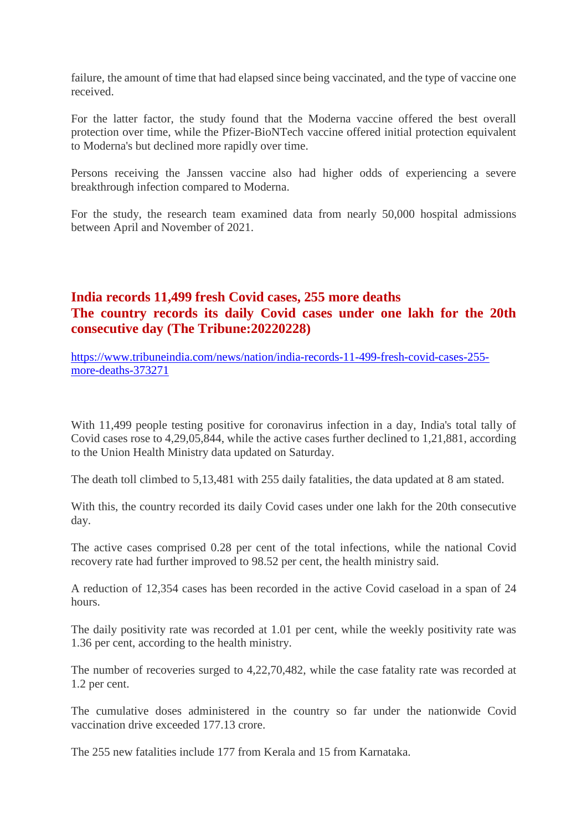failure, the amount of time that had elapsed since being vaccinated, and the type of vaccine one received.

For the latter factor, the study found that the Moderna vaccine offered the best overall protection over time, while the Pfizer-BioNTech vaccine offered initial protection equivalent to Moderna's but declined more rapidly over time.

Persons receiving the Janssen vaccine also had higher odds of experiencing a severe breakthrough infection compared to Moderna.

For the study, the research team examined data from nearly 50,000 hospital admissions between April and November of 2021.

# **India records 11,499 fresh Covid cases, 255 more deaths The country records its daily Covid cases under one lakh for the 20th consecutive day (The Tribune:20220228)**

https://www.tribuneindia.com/news/nation/india-records-11-499-fresh-covid-cases-255 more-deaths-373271

With 11,499 people testing positive for coronavirus infection in a day, India's total tally of Covid cases rose to 4,29,05,844, while the active cases further declined to 1,21,881, according to the Union Health Ministry data updated on Saturday.

The death toll climbed to 5,13,481 with 255 daily fatalities, the data updated at 8 am stated.

With this, the country recorded its daily Covid cases under one lakh for the 20th consecutive day.

The active cases comprised 0.28 per cent of the total infections, while the national Covid recovery rate had further improved to 98.52 per cent, the health ministry said.

A reduction of 12,354 cases has been recorded in the active Covid caseload in a span of 24 hours.

The daily positivity rate was recorded at 1.01 per cent, while the weekly positivity rate was 1.36 per cent, according to the health ministry.

The number of recoveries surged to 4,22,70,482, while the case fatality rate was recorded at 1.2 per cent.

The cumulative doses administered in the country so far under the nationwide Covid vaccination drive exceeded 177.13 crore.

The 255 new fatalities include 177 from Kerala and 15 from Karnataka.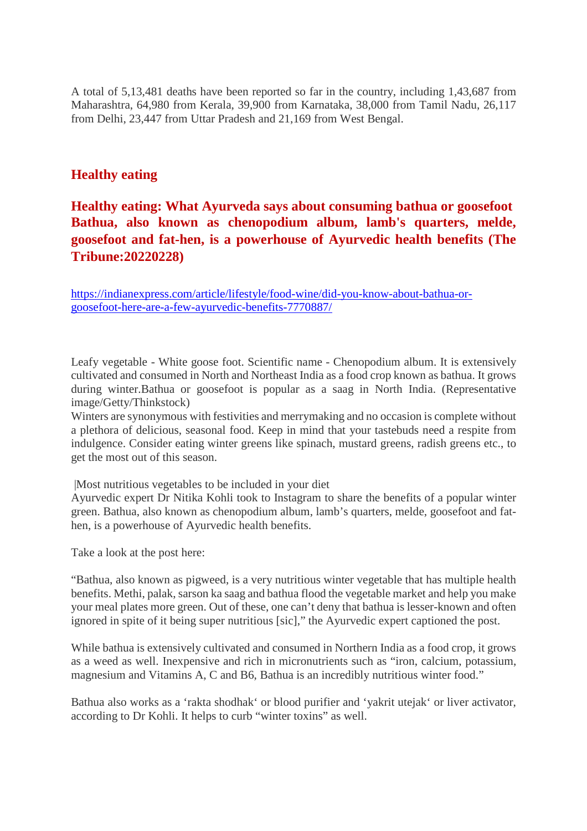A total of 5,13,481 deaths have been reported so far in the country, including 1,43,687 from Maharashtra, 64,980 from Kerala, 39,900 from Karnataka, 38,000 from Tamil Nadu, 26,117 from Delhi, 23,447 from Uttar Pradesh and 21,169 from West Bengal.

### **Healthy eating**

# **Healthy eating: What Ayurveda says about consuming bathua or goosefoot Bathua, also known as chenopodium album, lamb's quarters, melde, goosefoot and fat-hen, is a powerhouse of Ayurvedic health benefits (The Tribune:20220228)**

https://indianexpress.com/article/lifestyle/food-wine/did-you-know-about-bathua-orgoosefoot-here-are-a-few-ayurvedic-benefits-7770887/

Leafy vegetable - White goose foot. Scientific name - Chenopodium album. It is extensively cultivated and consumed in North and Northeast India as a food crop known as bathua. It grows during winter.Bathua or goosefoot is popular as a saag in North India. (Representative image/Getty/Thinkstock)

Winters are synonymous with festivities and merrymaking and no occasion is complete without a plethora of delicious, seasonal food. Keep in mind that your tastebuds need a respite from indulgence. Consider eating winter greens like spinach, mustard greens, radish greens etc., to get the most out of this season.

|Most nutritious vegetables to be included in your diet

Ayurvedic expert Dr Nitika Kohli took to Instagram to share the benefits of a popular winter green. Bathua, also known as chenopodium album, lamb's quarters, melde, goosefoot and fathen, is a powerhouse of Ayurvedic health benefits.

Take a look at the post here:

"Bathua, also known as pigweed, is a very nutritious winter vegetable that has multiple health benefits. Methi, palak, sarson ka saag and bathua flood the vegetable market and help you make your meal plates more green. Out of these, one can't deny that bathua is lesser-known and often ignored in spite of it being super nutritious [sic]," the Ayurvedic expert captioned the post.

While bathua is extensively cultivated and consumed in Northern India as a food crop, it grows as a weed as well. Inexpensive and rich in micronutrients such as "iron, calcium, potassium, magnesium and Vitamins A, C and B6, Bathua is an incredibly nutritious winter food."

Bathua also works as a 'rakta shodhak' or blood purifier and 'yakrit utejak' or liver activator, according to Dr Kohli. It helps to curb "winter toxins" as well.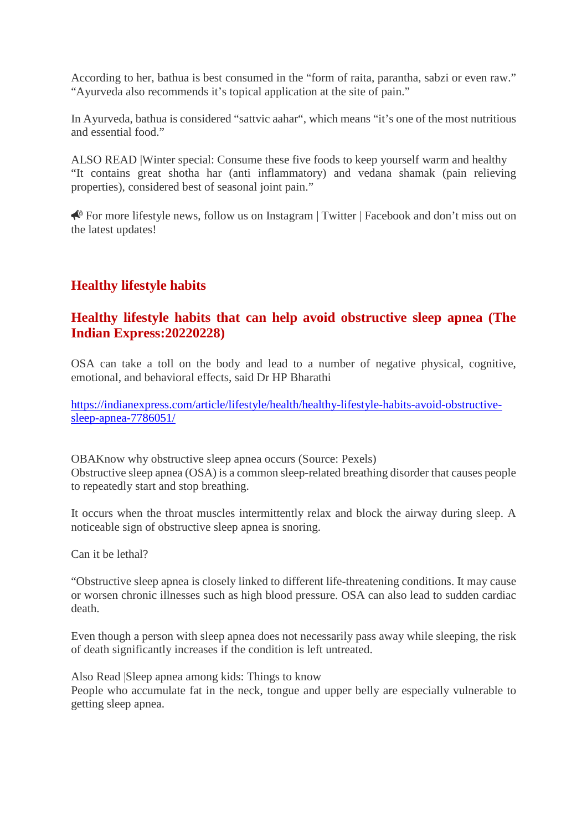According to her, bathua is best consumed in the "form of raita, parantha, sabzi or even raw." "Ayurveda also recommends it's topical application at the site of pain."

In Ayurveda, bathua is considered "sattvic aahar", which means "it's one of the most nutritious and essential food."

ALSO READ |Winter special: Consume these five foods to keep yourself warm and healthy "It contains great shotha har (anti inflammatory) and vedana shamak (pain relieving properties), considered best of seasonal joint pain."

For more lifestyle news, follow us on Instagram | Twitter | Facebook and don't miss out on the latest updates!

# **Healthy lifestyle habits**

# **Healthy lifestyle habits that can help avoid obstructive sleep apnea (The Indian Express:20220228)**

OSA can take a toll on the body and lead to a number of negative physical, cognitive, emotional, and behavioral effects, said Dr HP Bharathi

https://indianexpress.com/article/lifestyle/health/healthy-lifestyle-habits-avoid-obstructivesleep-apnea-7786051/

OBAKnow why obstructive sleep apnea occurs (Source: Pexels) Obstructive sleep apnea (OSA) is a common sleep-related breathing disorder that causes people to repeatedly start and stop breathing.

It occurs when the throat muscles intermittently relax and block the airway during sleep. A noticeable sign of obstructive sleep apnea is snoring.

Can it be lethal?

"Obstructive sleep apnea is closely linked to different life-threatening conditions. It may cause or worsen chronic illnesses such as high blood pressure. OSA can also lead to sudden cardiac death.

Even though a person with sleep apnea does not necessarily pass away while sleeping, the risk of death significantly increases if the condition is left untreated.

Also Read |Sleep apnea among kids: Things to know People who accumulate fat in the neck, tongue and upper belly are especially vulnerable to getting sleep apnea.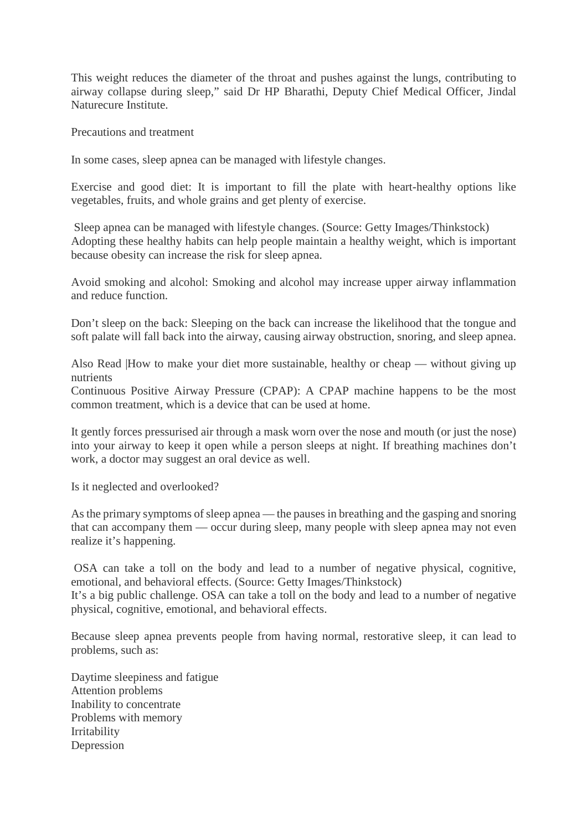This weight reduces the diameter of the throat and pushes against the lungs, contributing to airway collapse during sleep," said Dr HP Bharathi, Deputy Chief Medical Officer, Jindal Naturecure Institute.

Precautions and treatment

In some cases, sleep apnea can be managed with lifestyle changes.

Exercise and good diet: It is important to fill the plate with heart-healthy options like vegetables, fruits, and whole grains and get plenty of exercise.

Sleep apnea can be managed with lifestyle changes. (Source: Getty Images/Thinkstock) Adopting these healthy habits can help people maintain a healthy weight, which is important because obesity can increase the risk for sleep apnea.

Avoid smoking and alcohol: Smoking and alcohol may increase upper airway inflammation and reduce function.

Don't sleep on the back: Sleeping on the back can increase the likelihood that the tongue and soft palate will fall back into the airway, causing airway obstruction, snoring, and sleep apnea.

Also Read |How to make your diet more sustainable, healthy or cheap — without giving up nutrients

Continuous Positive Airway Pressure (CPAP): A CPAP machine happens to be the most common treatment, which is a device that can be used at home.

It gently forces pressurised air through a mask worn over the nose and mouth (or just the nose) into your airway to keep it open while a person sleeps at night. If breathing machines don't work, a doctor may suggest an oral device as well.

Is it neglected and overlooked?

As the primary symptoms of sleep apnea — the pauses in breathing and the gasping and snoring that can accompany them — occur during sleep, many people with sleep apnea may not even realize it's happening.

OSA can take a toll on the body and lead to a number of negative physical, cognitive, emotional, and behavioral effects. (Source: Getty Images/Thinkstock)

It's a big public challenge. OSA can take a toll on the body and lead to a number of negative physical, cognitive, emotional, and behavioral effects.

Because sleep apnea prevents people from having normal, restorative sleep, it can lead to problems, such as:

Daytime sleepiness and fatigue Attention problems Inability to concentrate Problems with memory Irritability Depression